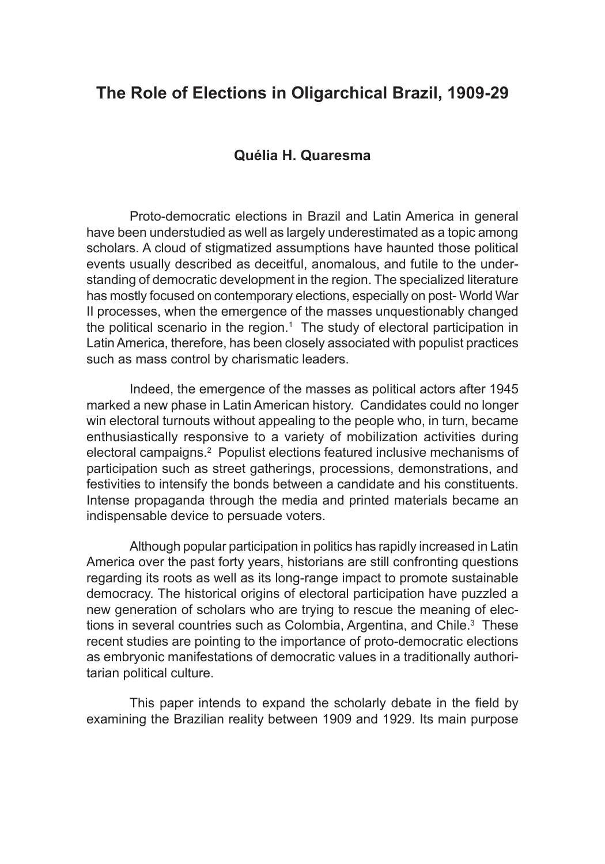# **The Role of Elections in Oligarchical Brazil, 1909-29**

### **Quélia H. Quaresma**

Proto-democratic elections in Brazil and Latin America in general have been understudied as well as largely underestimated as a topic among scholars. A cloud of stigmatized assumptions have haunted those political events usually described as deceitful, anomalous, and futile to the understanding of democratic development in the region. The specialized literature has mostly focused on contemporary elections, especially on post- World War II processes, when the emergence of the masses unquestionably changed the political scenario in the region.<sup>1</sup> The study of electoral participation in Latin America, therefore, has been closely associated with populist practices such as mass control by charismatic leaders.

Indeed, the emergence of the masses as political actors after 1945 marked a new phase in Latin American history. Candidates could no longer win electoral turnouts without appealing to the people who, in turn, became enthusiastically responsive to a variety of mobilization activities during electoral campaigns.<sup>2</sup> Populist elections featured inclusive mechanisms of participation such as street gatherings, processions, demonstrations, and festivities to intensify the bonds between a candidate and his constituents. Intense propaganda through the media and printed materials became an indispensable device to persuade voters.

Although popular participation in politics has rapidly increased in Latin America over the past forty years, historians are still confronting questions regarding its roots as well as its long-range impact to promote sustainable democracy. The historical origins of electoral participation have puzzled a new generation of scholars who are trying to rescue the meaning of elections in several countries such as Colombia, Argentina, and Chile.<sup>3</sup> These recent studies are pointing to the importance of proto-democratic elections as embryonic manifestations of democratic values in a traditionally authoritarian political culture.

This paper intends to expand the scholarly debate in the field by examining the Brazilian reality between 1909 and 1929. Its main purpose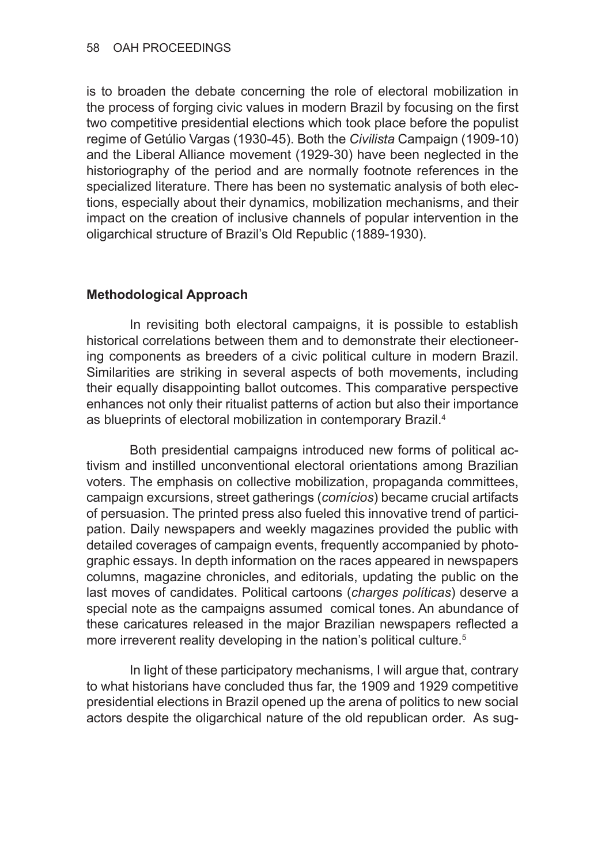is to broaden the debate concerning the role of electoral mobilization in the process of forging civic values in modern Brazil by focusing on the first two competitive presidential elections which took place before the populist regime of Getúlio Vargas (1930-45). Both the *Civilista* Campaign (1909-10) and the Liberal Alliance movement (1929-30) have been neglected in the historiography of the period and are normally footnote references in the specialized literature. There has been no systematic analysis of both elections, especially about their dynamics, mobilization mechanisms, and their impact on the creation of inclusive channels of popular intervention in the oligarchical structure of Brazil's Old Republic (1889-1930).

## **Methodological Approach**

In revisiting both electoral campaigns, it is possible to establish historical correlations between them and to demonstrate their electioneering components as breeders of a civic political culture in modern Brazil. Similarities are striking in several aspects of both movements, including their equally disappointing ballot outcomes. This comparative perspective enhances not only their ritualist patterns of action but also their importance as blueprints of electoral mobilization in contemporary Brazil.<sup>4</sup>

Both presidential campaigns introduced new forms of political activism and instilled unconventional electoral orientations among Brazilian voters. The emphasis on collective mobilization, propaganda committees, campaign excursions, street gatherings (*comícios*) became crucial artifacts of persuasion. The printed press also fueled this innovative trend of participation. Daily newspapers and weekly magazines provided the public with detailed coverages of campaign events, frequently accompanied by photographic essays. In depth information on the races appeared in newspapers columns, magazine chronicles, and editorials, updating the public on the last moves of candidates. Political cartoons (*charges políticas*) deserve a special note as the campaigns assumed comical tones. An abundance of these caricatures released in the major Brazilian newspapers reflected a more irreverent reality developing in the nation's political culture.<sup>5</sup>

In light of these participatory mechanisms, I will argue that, contrary to what historians have concluded thus far, the 1909 and 1929 competitive presidential elections in Brazil opened up the arena of politics to new social actors despite the oligarchical nature of the old republican order. As sug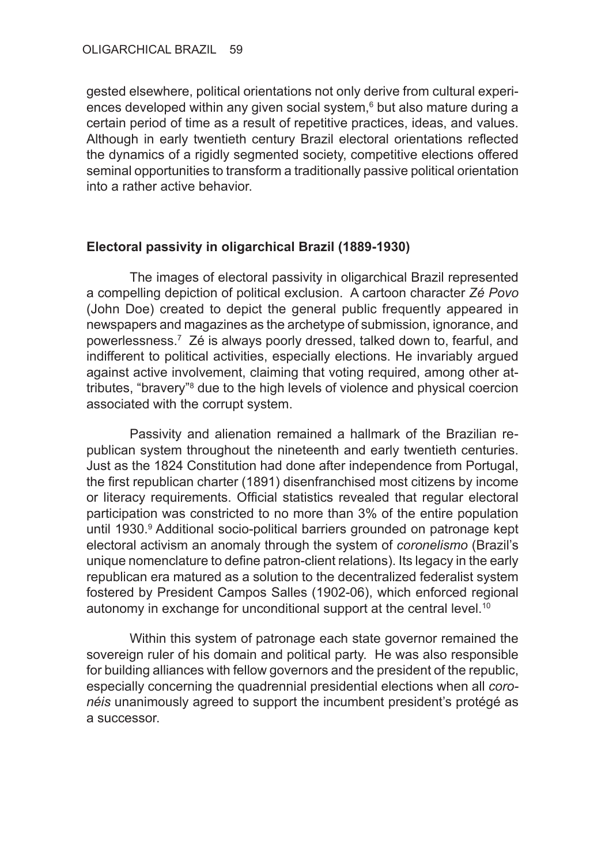gested elsewhere, political orientations not only derive from cultural experiences developed within any given social system,<sup>6</sup> but also mature during a certain period of time as a result of repetitive practices, ideas, and values. Although in early twentieth century Brazil electoral orientations reflected the dynamics of a rigidly segmented society, competitive elections offered seminal opportunities to transform a traditionally passive political orientation into a rather active behavior.

### **Electoral passivity in oligarchical Brazil (1889-1930)**

The images of electoral passivity in oligarchical Brazil represented a compelling depiction of political exclusion. A cartoon character *Zé Povo*  (John Doe) created to depict the general public frequently appeared in newspapers and magazines as the archetype of submission, ignorance, and powerlessness.7 Zé is always poorly dressed, talked down to, fearful, and indifferent to political activities, especially elections. He invariably argued against active involvement, claiming that voting required, among other attributes, "bravery"<sup>8</sup> due to the high levels of violence and physical coercion associated with the corrupt system.

Passivity and alienation remained a hallmark of the Brazilian republican system throughout the nineteenth and early twentieth centuries. Just as the 1824 Constitution had done after independence from Portugal, the first republican charter (1891) disenfranchised most citizens by income or literacy requirements. Official statistics revealed that regular electoral participation was constricted to no more than 3% of the entire population until 1930.<sup>9</sup> Additional socio-political barriers grounded on patronage kept electoral activism an anomaly through the system of *coronelismo* (Brazil's unique nomenclature to define patron-client relations). Its legacy in the early republican era matured as a solution to the decentralized federalist system fostered by President Campos Salles (1902-06), which enforced regional autonomy in exchange for unconditional support at the central level.<sup>10</sup>

Within this system of patronage each state governor remained the sovereign ruler of his domain and political party. He was also responsible for building alliances with fellow governors and the president of the republic, especially concerning the quadrennial presidential elections when all *coronéis* unanimously agreed to support the incumbent president's protégé as a successor.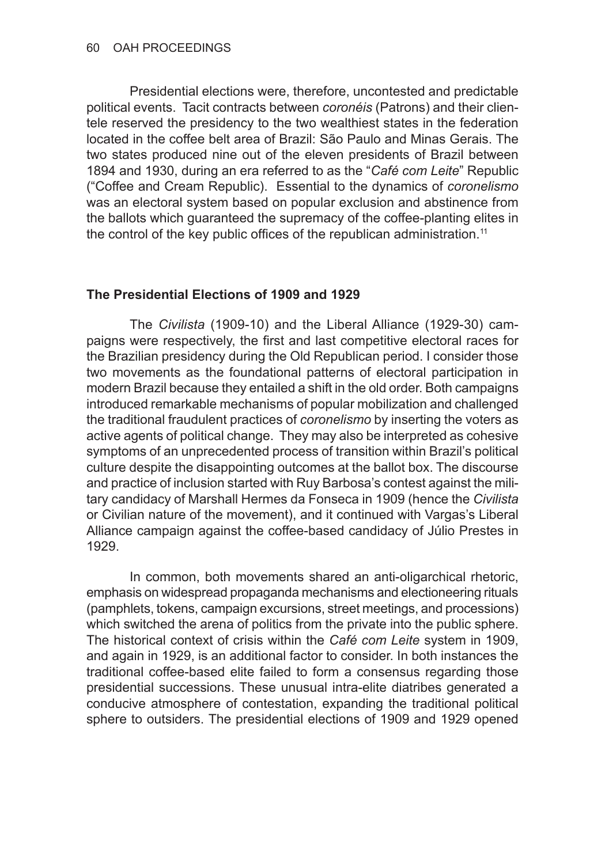Presidential elections were, therefore, uncontested and predictable political events. Tacit contracts between *coronéis* (Patrons) and their clientele reserved the presidency to the two wealthiest states in the federation located in the coffee belt area of Brazil: São Paulo and Minas Gerais. The two states produced nine out of the eleven presidents of Brazil between 1894 and 1930, during an era referred to as the "*Café com Leite*" Republic ("Coffee and Cream Republic). Essential to the dynamics of *coronelismo* was an electoral system based on popular exclusion and abstinence from the ballots which guaranteed the supremacy of the coffee-planting elites in the control of the key public offices of the republican administration.<sup>11</sup>

#### **The Presidential Elections of 1909 and 1929**

The *Civilista* (1909-10) and the Liberal Alliance (1929-30) campaigns were respectively, the first and last competitive electoral races for the Brazilian presidency during the Old Republican period. I consider those two movements as the foundational patterns of electoral participation in modern Brazil because they entailed a shift in the old order. Both campaigns introduced remarkable mechanisms of popular mobilization and challenged the traditional fraudulent practices of *coronelismo* by inserting the voters as active agents of political change. They may also be interpreted as cohesive symptoms of an unprecedented process of transition within Brazil's political culture despite the disappointing outcomes at the ballot box. The discourse and practice of inclusion started with Ruy Barbosa's contest against the military candidacy of Marshall Hermes da Fonseca in 1909 (hence the *Civilista* or Civilian nature of the movement), and it continued with Vargas's Liberal Alliance campaign against the coffee-based candidacy of Júlio Prestes in 1929.

In common, both movements shared an anti-oligarchical rhetoric, emphasis on widespread propaganda mechanisms and electioneering rituals (pamphlets, tokens, campaign excursions, street meetings, and processions) which switched the arena of politics from the private into the public sphere. The historical context of crisis within the *Café com Leite* system in 1909, and again in 1929, is an additional factor to consider. In both instances the traditional coffee-based elite failed to form a consensus regarding those presidential successions. These unusual intra-elite diatribes generated a conducive atmosphere of contestation, expanding the traditional political sphere to outsiders. The presidential elections of 1909 and 1929 opened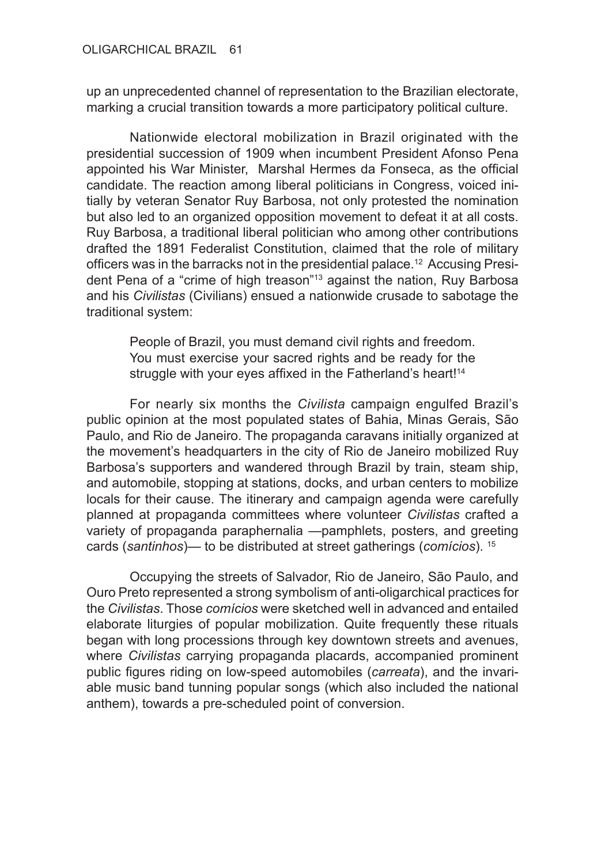up an unprecedented channel of representation to the Brazilian electorate, marking a crucial transition towards a more participatory political culture.

Nationwide electoral mobilization in Brazil originated with the presidential succession of 1909 when incumbent President Afonso Pena appointed his War Minister, Marshal Hermes da Fonseca, as the official candidate. The reaction among liberal politicians in Congress, voiced initially by veteran Senator Ruy Barbosa, not only protested the nomination but also led to an organized opposition movement to defeat it at all costs. Ruy Barbosa, a traditional liberal politician who among other contributions drafted the 1891 Federalist Constitution, claimed that the role of military officers was in the barracks not in the presidential palace.12 Accusing President Pena of a "crime of high treason"<sup>13</sup> against the nation, Ruy Barbosa and his *Civilistas* (Civilians) ensued a nationwide crusade to sabotage the traditional system:

People of Brazil, you must demand civil rights and freedom. You must exercise your sacred rights and be ready for the struggle with your eyes affixed in the Fatherland's heart!<sup>14</sup>

For nearly six months the *Civilista* campaign engulfed Brazil's public opinion at the most populated states of Bahia, Minas Gerais, São Paulo, and Rio de Janeiro. The propaganda caravans initially organized at the movement's headquarters in the city of Rio de Janeiro mobilized Ruy Barbosa's supporters and wandered through Brazil by train, steam ship, and automobile, stopping at stations, docks, and urban centers to mobilize locals for their cause. The itinerary and campaign agenda were carefully planned at propaganda committees where volunteer *Civilistas* crafted a variety of propaganda paraphernalia —pamphlets, posters, and greeting cards (*santinhos*)— to be distributed at street gatherings (*comícios*). 15

Occupying the streets of Salvador, Rio de Janeiro, São Paulo, and Ouro Preto represented a strong symbolism of anti-oligarchical practices for the *Civilistas*. Those *comícios* were sketched well in advanced and entailed elaborate liturgies of popular mobilization. Quite frequently these rituals began with long processions through key downtown streets and avenues, where *Civilistas* carrying propaganda placards, accompanied prominent public figures riding on low-speed automobiles (*carreata*), and the invariable music band tunning popular songs (which also included the national anthem), towards a pre-scheduled point of conversion.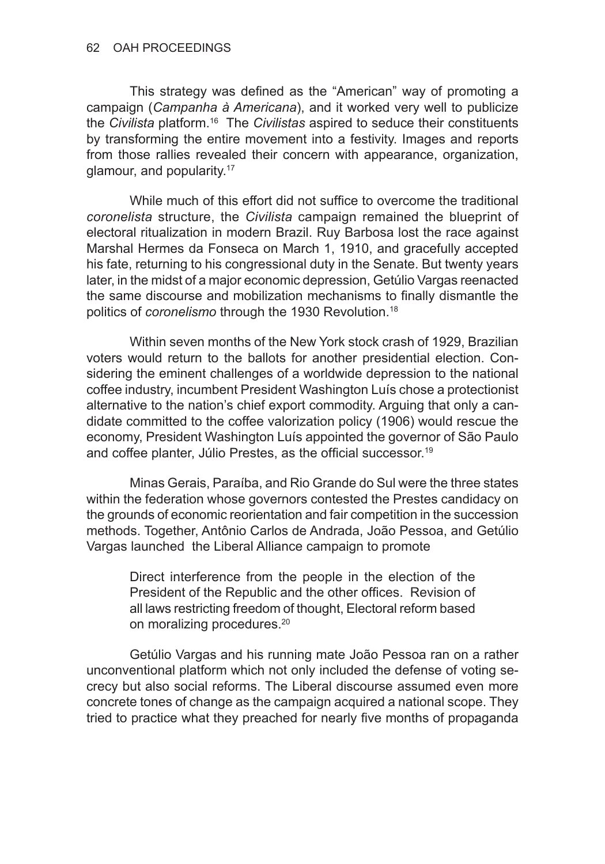This strategy was defined as the "American" way of promoting a campaign (*Campanha à Americana*), and it worked very well to publicize the *Civilista* platform.16 The *Civilistas* aspired to seduce their constituents by transforming the entire movement into a festivity. Images and reports from those rallies revealed their concern with appearance, organization, glamour, and popularity.17

While much of this effort did not suffice to overcome the traditional *coronelista* structure, the *Civilista* campaign remained the blueprint of electoral ritualization in modern Brazil. Ruy Barbosa lost the race against Marshal Hermes da Fonseca on March 1, 1910, and gracefully accepted his fate, returning to his congressional duty in the Senate. But twenty years later, in the midst of a major economic depression, Getúlio Vargas reenacted the same discourse and mobilization mechanisms to finally dismantle the politics of *coronelismo* through the 1930 Revolution.<sup>18</sup>

Within seven months of the New York stock crash of 1929, Brazilian voters would return to the ballots for another presidential election. Considering the eminent challenges of a worldwide depression to the national coffee industry, incumbent President Washington Luís chose a protectionist alternative to the nation's chief export commodity. Arguing that only a candidate committed to the coffee valorization policy (1906) would rescue the economy, President Washington Luís appointed the governor of São Paulo and coffee planter, Júlio Prestes, as the official successor.<sup>19</sup>

Minas Gerais, Paraíba, and Rio Grande do Sul were the three states within the federation whose governors contested the Prestes candidacy on the grounds of economic reorientation and fair competition in the succession methods. Together, Antônio Carlos de Andrada, João Pessoa, and Getúlio Vargas launched the Liberal Alliance campaign to promote

Direct interference from the people in the election of the President of the Republic and the other offices. Revision of all laws restricting freedom of thought, Electoral reform based on moralizing procedures.20

Getúlio Vargas and his running mate João Pessoa ran on a rather unconventional platform which not only included the defense of voting secrecy but also social reforms. The Liberal discourse assumed even more concrete tones of change as the campaign acquired a national scope. They tried to practice what they preached for nearly five months of propaganda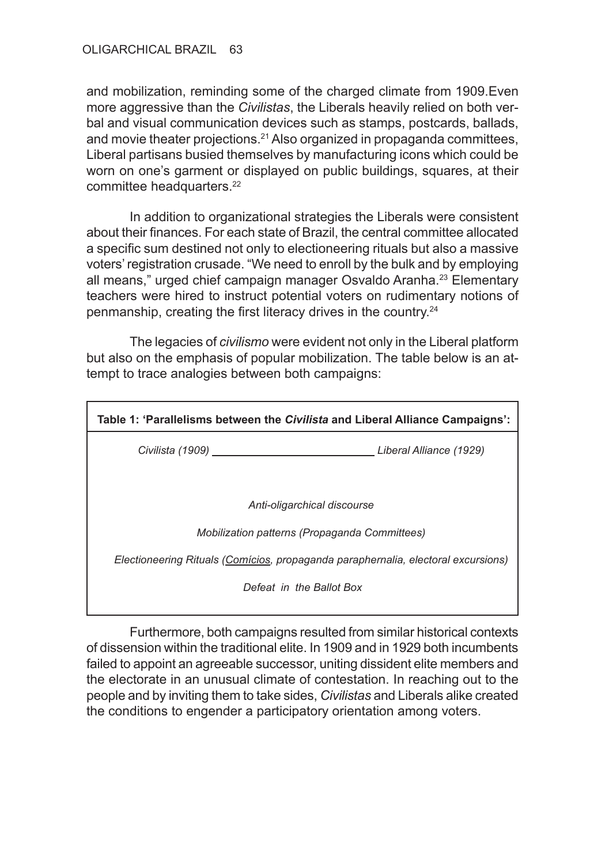and mobilization, reminding some of the charged climate from 1909.Even more aggressive than the *Civilistas*, the Liberals heavily relied on both verbal and visual communication devices such as stamps, postcards, ballads, and movie theater projections.21 Also organized in propaganda committees, Liberal partisans busied themselves by manufacturing icons which could be worn on one's garment or displayed on public buildings, squares, at their committee headquarters.<sup>22</sup>

In addition to organizational strategies the Liberals were consistent about their finances. For each state of Brazil, the central committee allocated a specific sum destined not only to electioneering rituals but also a massive voters' registration crusade. "We need to enroll by the bulk and by employing all means," urged chief campaign manager Osvaldo Aranha.<sup>23</sup> Elementary teachers were hired to instruct potential voters on rudimentary notions of penmanship, creating the first literacy drives in the country.<sup>24</sup>

The legacies of *civilismo* were evident not only in the Liberal platform but also on the emphasis of popular mobilization. The table below is an attempt to trace analogies between both campaigns:

| Table 1: 'Parallelisms between the <i>Civilista</i> and Liberal Alliance Campaigns': |  |
|--------------------------------------------------------------------------------------|--|
| Civilista (1909) Civilista (1929)                                                    |  |
|                                                                                      |  |
| Anti-oligarchical discourse                                                          |  |
| Mobilization patterns (Propaganda Committees)                                        |  |
| Electioneering Rituals (Comícios, propaganda paraphernalia, electoral excursions)    |  |
| Defeat in the Ballot Box                                                             |  |

Furthermore, both campaigns resulted from similar historical contexts of dissension within the traditional elite. In 1909 and in 1929 both incumbents failed to appoint an agreeable successor, uniting dissident elite members and the electorate in an unusual climate of contestation. In reaching out to the people and by inviting them to take sides, *Civilistas* and Liberals alike created the conditions to engender a participatory orientation among voters.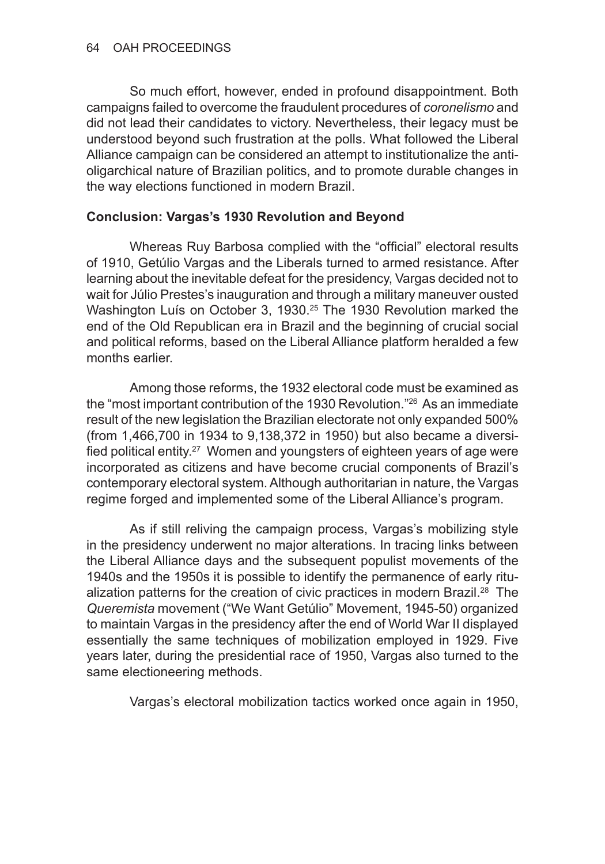So much effort, however, ended in profound disappointment. Both campaigns failed to overcome the fraudulent procedures of *coronelismo* and did not lead their candidates to victory. Nevertheless, their legacy must be understood beyond such frustration at the polls. What followed the Liberal Alliance campaign can be considered an attempt to institutionalize the antioligarchical nature of Brazilian politics, and to promote durable changes in the way elections functioned in modern Brazil.

### **Conclusion: Vargas's 1930 Revolution and Beyond**

Whereas Ruy Barbosa complied with the "official" electoral results of 1910, Getúlio Vargas and the Liberals turned to armed resistance. After learning about the inevitable defeat for the presidency, Vargas decided not to wait for Júlio Prestes's inauguration and through a military maneuver ousted Washington Luís on October 3, 1930.<sup>25</sup> The 1930 Revolution marked the end of the Old Republican era in Brazil and the beginning of crucial social and political reforms, based on the Liberal Alliance platform heralded a few months earlier.

Among those reforms, the 1932 electoral code must be examined as the "most important contribution of the 1930 Revolution."26 As an immediate result of the new legislation the Brazilian electorate not only expanded 500% (from 1,466,700 in 1934 to 9,138,372 in 1950) but also became a diversified political entity.27 Women and youngsters of eighteen years of age were incorporated as citizens and have become crucial components of Brazil's contemporary electoral system. Although authoritarian in nature, the Vargas regime forged and implemented some of the Liberal Alliance's program.

As if still reliving the campaign process, Vargas's mobilizing style in the presidency underwent no major alterations. In tracing links between the Liberal Alliance days and the subsequent populist movements of the 1940s and the 1950s it is possible to identify the permanence of early ritualization patterns for the creation of civic practices in modern Brazil.28 The *Queremista* movement ("We Want Getúlio" Movement, 1945-50) organized to maintain Vargas in the presidency after the end of World War II displayed essentially the same techniques of mobilization employed in 1929. Five years later, during the presidential race of 1950, Vargas also turned to the same electioneering methods.

Vargas's electoral mobilization tactics worked once again in 1950,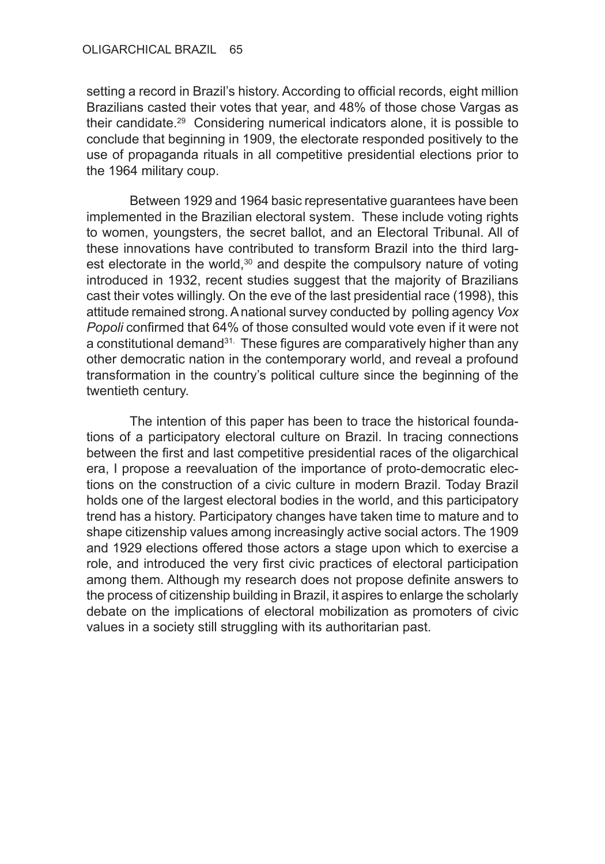setting a record in Brazil's history. According to official records, eight million Brazilians casted their votes that year, and 48% of those chose Vargas as their candidate.29 Considering numerical indicators alone, it is possible to conclude that beginning in 1909, the electorate responded positively to the use of propaganda rituals in all competitive presidential elections prior to the 1964 military coup.

Between 1929 and 1964 basic representative guarantees have been implemented in the Brazilian electoral system. These include voting rights to women, youngsters, the secret ballot, and an Electoral Tribunal. All of these innovations have contributed to transform Brazil into the third largest electorate in the world,<sup>30</sup> and despite the compulsory nature of voting introduced in 1932, recent studies suggest that the majority of Brazilians cast their votes willingly. On the eve of the last presidential race (1998), this attitude remained strong. A national survey conducted by polling agency *Vox Popoli* confirmed that 64% of those consulted would vote even if it were not a constitutional demand<sup>31.</sup> These figures are comparatively higher than any other democratic nation in the contemporary world, and reveal a profound transformation in the country's political culture since the beginning of the twentieth century.

The intention of this paper has been to trace the historical foundations of a participatory electoral culture on Brazil. In tracing connections between the first and last competitive presidential races of the oligarchical era, I propose a reevaluation of the importance of proto-democratic elections on the construction of a civic culture in modern Brazil. Today Brazil holds one of the largest electoral bodies in the world, and this participatory trend has a history. Participatory changes have taken time to mature and to shape citizenship values among increasingly active social actors. The 1909 and 1929 elections offered those actors a stage upon which to exercise a role, and introduced the very first civic practices of electoral participation among them. Although my research does not propose definite answers to the process of citizenship building in Brazil, it aspires to enlarge the scholarly debate on the implications of electoral mobilization as promoters of civic values in a society still struggling with its authoritarian past.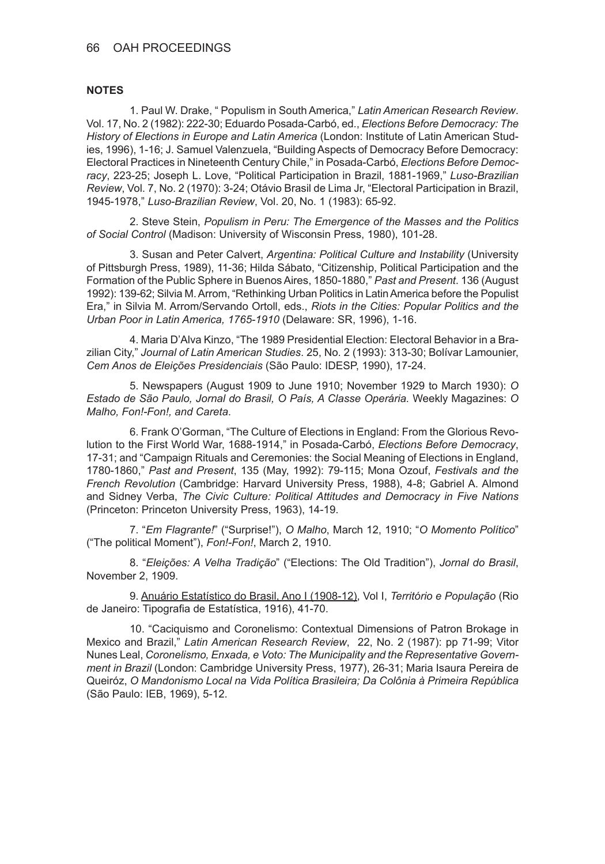#### 66 OAH PROCEEDINGS

#### **NOTES**

1. Paul W. Drake, " Populism in South America," *Latin American Research Review*. Vol. 17, No. 2 (1982): 222-30; Eduardo Posada-Carbó, ed., *Elections Before Democracy: The History of Elections in Europe and Latin America* (London: Institute of Latin American Studies, 1996), 1-16; J. Samuel Valenzuela, "Building Aspects of Democracy Before Democracy: Electoral Practices in Nineteenth Century Chile," in Posada-Carbó, *Elections Before Democracy*, 223-25; Joseph L. Love, "Political Participation in Brazil, 1881-1969," *Luso-Brazilian Review*, Vol. 7, No. 2 (1970): 3-24; Otávio Brasil de Lima Jr, "Electoral Participation in Brazil, 1945-1978," *Luso-Brazilian Review*, Vol. 20, No. 1 (1983): 65-92.

2. Steve Stein, *Populism in Peru: The Emergence of the Masses and the Politics of Social Control* (Madison: University of Wisconsin Press, 1980), 101-28.

3. Susan and Peter Calvert, *Argentina: Political Culture and Instability* (University of Pittsburgh Press, 1989), 11-36; Hilda Sábato, "Citizenship, Political Participation and the Formation of the Public Sphere in Buenos Aires, 1850-1880," *Past and Present*. 136 (August 1992): 139-62; Silvia M. Arrom, "Rethinking Urban Politics in Latin America before the Populist Era," in Silvia M. Arrom/Servando Ortoll, eds., *Riots in the Cities: Popular Politics and the Urban Poor in Latin America, 1765-1910* (Delaware: SR, 1996), 1-16.

4. Maria D'Alva Kinzo, "The 1989 Presidential Election: Electoral Behavior in a Brazilian City," *Journal of Latin American Studies*. 25, No. 2 (1993): 313-30; Bolívar Lamounier, *Cem Anos de Eleições Presidenciais* (São Paulo: IDESP, 1990), 17-24.

5. Newspapers (August 1909 to June 1910; November 1929 to March 1930): *O Estado de São Paulo, Jornal do Brasil, O País, A Classe Operária.* Weekly Magazines: *O Malho, Fon!-Fon!, and Careta*.

6. Frank O'Gorman, "The Culture of Elections in England: From the Glorious Revolution to the First World War, 1688-1914," in Posada-Carbó, *Elections Before Democracy*, 17-31; and "Campaign Rituals and Ceremonies: the Social Meaning of Elections in England, 1780-1860," *Past and Present*, 135 (May, 1992): 79-115; Mona Ozouf, *Festivals and the French Revolution* (Cambridge: Harvard University Press, 1988), 4-8; Gabriel A. Almond and Sidney Verba, *The Civic Culture: Political Attitudes and Democracy in Five Nations* (Princeton: Princeton University Press, 1963), 14-19.

7. "*Em Flagrante!*" ("Surprise!"), *O Malho*, March 12, 1910; "*O Momento Político*" ("The political Moment"), *Fon!-Fon!*, March 2, 1910.

8. "*Eleições: A Velha Tradição*" ("Elections: The Old Tradition"), *Jornal do Brasil*, November 2, 1909.

9. Anuário Estatístico do Brasil, Ano I (1908-12), Vol I, *Território e População* (Rio de Janeiro: Tipografia de Estatística, 1916), 41-70.

10. "Caciquismo and Coronelismo: Contextual Dimensions of Patron Brokage in Mexico and Brazil," *Latin American Research Review*, 22, No. 2 (1987): pp 71-99; Vitor Nunes Leal, *Coronelismo, Enxada, e Voto: The Municipality and the Representative Government in Brazil* (London: Cambridge University Press, 1977), 26-31; Maria Isaura Pereira de Queiróz, *O Mandonismo Local na Vida Política Brasileira; Da Colônia à Primeira República* (São Paulo: IEB, 1969), 5-12.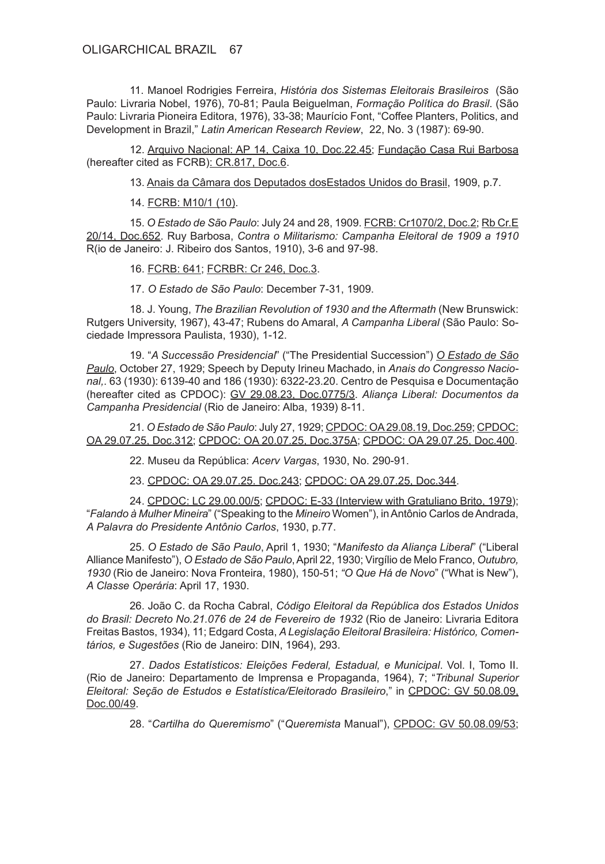11. Manoel Rodrigies Ferreira, *História dos Sistemas Eleitorais Brasileiros* (São Paulo: Livraria Nobel, 1976), 70-81; Paula Beiguelman, *Formação Política do Brasil*. (São Paulo: Livraria Pioneira Editora, 1976), 33-38; Maurício Font, "Coffee Planters, Politics, and Development in Brazil," *Latin American Research Review*, 22, No. 3 (1987): 69-90.

12. Arquivo Nacional: AP 14, Caixa 10, Doc.22.45; Fundação Casa Rui Barbosa (hereafter cited as FCRB): CR.817, Doc.6.

13. Anais da Câmara dos Deputados dosEstados Unidos do Brasil, 1909, p.7.

14. FCRB: M10/1 (10).

15. *O Estado de Sã*o *Paulo*: July 24 and 28, 1909. FCRB: Cr1070/2, Doc.2; Rb Cr.E 20/14, Doc.652. Ruy Barbosa, *Contra o Militarismo: Campanha Eleitoral de 1909 a 1910* R(io de Janeiro: J. Ribeiro dos Santos, 1910), 3-6 and 97-98.

16. FCRB: 641; FCRBR: Cr 246, Doc.3.

17. *O Estado de São Paulo*: December 7-31, 1909.

18. J. Young, *The Brazilian Revolution of 1930 and the Aftermath* (New Brunswick: Rutgers University, 1967), 43-47; Rubens do Amaral, *A Campanha Liberal* (São Paulo: Sociedade Impressora Paulista, 1930), 1-12.

19. "*A Successão Presidencial*" ("The Presidential Succession") *O Estado de São Paulo*, October 27, 1929; Speech by Deputy Irineu Machado, in *Anais do Congresso Nacional,*. 63 (1930): 6139-40 and 186 (1930): 6322-23.20. Centro de Pesquisa e Documentação (hereafter cited as CPDOC): GV 29.08.23, Doc.0775/3. *Aliança Liberal: Documentos da Campanha Presidencial* (Rio de Janeiro: Alba, 1939) 8-11.

21. *O Estado de São Paulo*: July 27, 1929; CPDOC: OA 29.08.19, Doc.259; CPDOC: OA 29.07.25, Doc.312; CPDOC: OA 20.07.25, Doc.375A; CPDOC: OA 29.07.25, Doc.400.

22. Museu da República: *Acerv Vargas*, 1930, No. 290-91.

23. CPDOC: OA 29.07.25. Doc.243; CPDOC: OA 29.07.25, Doc.344.

24. CPDOC: LC 29.00.00/5; CPDOC: E-33 (Interview with Gratuliano Brito, 1979); "*Falando à Mulher Mineira*" ("Speaking to the *Mineiro* Women"), in Antônio Carlos de Andrada, *A Palavra do Presidente Antônio Carlos*, 1930, p.77.

25. *O Estado de São Paulo*, April 1, 1930; "*Manifesto da Aliança Liberal*" ("Liberal Alliance Manifesto"), *O Estado de São Paulo*, April 22, 1930; Virgílio de Melo Franco, *Outubro, 1930* (Rio de Janeiro: Nova Fronteira, 1980), 150-51; *"O Que Há de Novo*" ("What is New"), *A Classe Operária*: April 17, 1930.

26. João C. da Rocha Cabral, *Código Eleitoral da República dos Estados Unidos do Brasil: Decreto No.21.076 de 24 de Fevereiro de 1932* (Rio de Janeiro: Livraria Editora Freitas Bastos, 1934), 11; Edgard Costa, *A Legislação Eleitoral Brasileira: Histórico, Comentários, e Sugestões* (Rio de Janeiro: DIN, 1964), 293.

27. *Dados Estatísticos: Eleições Federal, Estadual, e Municipal*. Vol. I, Tomo II. (Rio de Janeiro: Departamento de Imprensa e Propaganda, 1964), 7; "*Tribunal Superior Eleitoral: Seção de Estudos e Estatística/Eleitorado Brasileiro*," in CPDOC: GV 50.08.09, Doc.00/49.

28. "*Cartilha do Queremismo*" ("*Queremista* Manual"), CPDOC: GV 50.08.09/53;